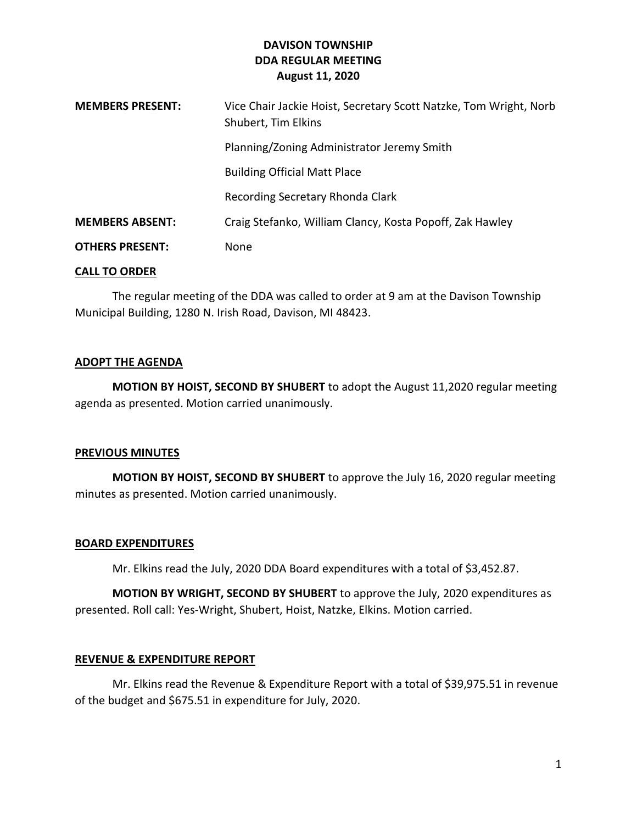# **DAVISON TOWNSHIP DDA REGULAR MEETING August 11, 2020**

| <b>MEMBERS PRESENT:</b> | Vice Chair Jackie Hoist, Secretary Scott Natzke, Tom Wright, Norb<br>Shubert, Tim Elkins |
|-------------------------|------------------------------------------------------------------------------------------|
|                         | Planning/Zoning Administrator Jeremy Smith                                               |
|                         | <b>Building Official Matt Place</b>                                                      |
|                         | Recording Secretary Rhonda Clark                                                         |
| <b>MEMBERS ABSENT:</b>  | Craig Stefanko, William Clancy, Kosta Popoff, Zak Hawley                                 |
| <b>OTHERS PRESENT:</b>  | None                                                                                     |

#### **CALL TO ORDER**

The regular meeting of the DDA was called to order at 9 am at the Davison Township Municipal Building, 1280 N. Irish Road, Davison, MI 48423.

#### **ADOPT THE AGENDA**

**MOTION BY HOIST, SECOND BY SHUBERT** to adopt the August 11,2020 regular meeting agenda as presented. Motion carried unanimously.

# **PREVIOUS MINUTES**

**MOTION BY HOIST, SECOND BY SHUBERT** to approve the July 16, 2020 regular meeting minutes as presented. Motion carried unanimously.

# **BOARD EXPENDITURES**

Mr. Elkins read the July, 2020 DDA Board expenditures with a total of \$3,452.87.

**MOTION BY WRIGHT, SECOND BY SHUBERT** to approve the July, 2020 expenditures as presented. Roll call: Yes-Wright, Shubert, Hoist, Natzke, Elkins. Motion carried.

# **REVENUE & EXPENDITURE REPORT**

Mr. Elkins read the Revenue & Expenditure Report with a total of \$39,975.51 in revenue of the budget and \$675.51 in expenditure for July, 2020.